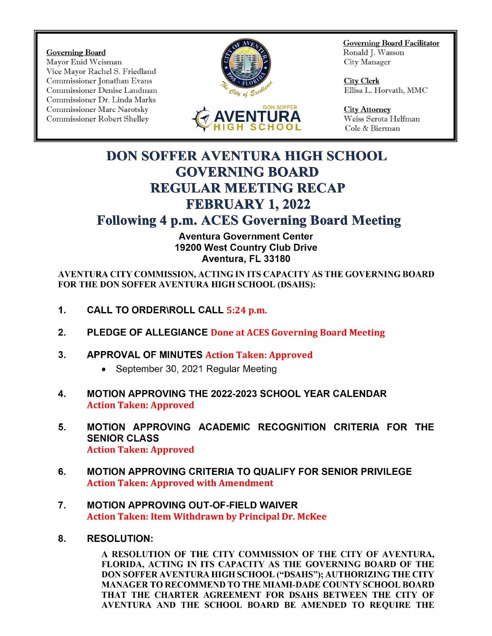Governing Board<br>Mayor Enid Weisman Nayor Enid Weisman Mayor Enid Weisman Vice Mayor Rachel S. Friedland Commissioner Jonathan Evans City Clerk<br>
Commissioner Denise Landman Commissioner Denise Landman Commissioner Denise Landman Commissioner Denise Landman Commissioner Dr. Linda Marks Commissioner Marc Narotsky<br>
Commissioner Robert Shelley **DON SOFFER City Attorney**<br>
Commissioner Robert Shelley **DON DON SOFFER** Weiss Serota Helfman Commissioner Robert Shelley





Governing Board Facilitator

Cole & Bierman

## DON SOFFER AVENTURA HIGH SCHOOL GOVERNING BOARD REGULAR MEETING RECAP FEBRUARY 1, 2022

## Following 4 p.m. ACES Governing Board Meeting

Aventura Government Center 19200 West Country Club Drive Aventura, FL 33180

AVENTURA CITY COMMISSION, ACTING IN ITS CAPACITY AS THE GOVERNING BOARD FOR THE DON SOFFER AVENTURA HIGH SCHOOL (DSAHS):

- 1. CALL TO ORDER\ROLL CALL 5:24 p.m.
- 2. PLEDGE OF ALLEGIANCE Done at ACES Governing Board Meeting
- 3. APPROVAL OF MINUTES Action Taken: Approved
	- September 30, 2021 Regular Meeting
- 4. MOTION APPROVING THE 2022-2023 SCHOOL YEAR CALENDAR Action Taken: Approved
- 5. MOTION APPROVING ACADEMIC RECOGNITION CRITERIA FOR THE SENIOR CLASS Action Taken: Approved
- 6. MOTION APPROVING CRITERIA TO QUALIFY FOR SENIOR PRIVILEGE Action Taken: Approved with Amendment
- 7. MOTION APPROVING OUT-OF- FIELD WAIVER Action Taken: Item Withdrawn by Principal Dr. McKee
- 8. RESOLUTION:

A RESOLUTION OF THE CITY COMMISSION OF THE CITY OF AVENTURA, FLORIDA, ACTING IN ITS CAPACITY AS THE GOVERNING BOARD OF THE DON SOFFER AVENTURA HIGH SCHOOL ("DSAHS"); AUTHORIZING THE CITY MANAGER TO RECOMMEND TO THE MIAMI- DADE COUNTY SCHOOL BOARD THAT THE CHARTER AGREEMENT FOR DSAHS BETWEEN THE CITY OF AVENTURA AND THE SCHOOL BOARD BE AMENDED TO REQUIRE THE